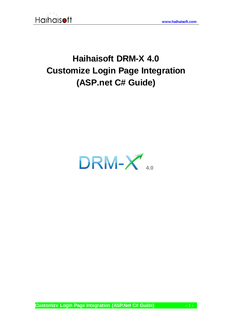

# **Haihaisoft DRM-X 4.0 Customize Login Page Integration (ASP.net C# Guide)**

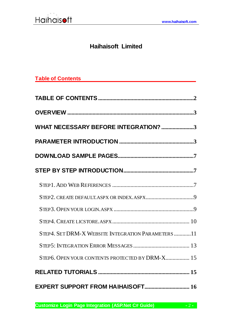

# **Haihaisoft Limited**

<span id="page-1-0"></span>

|  | <b>Table of Contents</b> |
|--|--------------------------|
|  |                          |

| WHAT NECESSARY BEFORE INTEGRATION? 3              |
|---------------------------------------------------|
|                                                   |
|                                                   |
|                                                   |
|                                                   |
|                                                   |
|                                                   |
|                                                   |
| STEP4. SET DRM-X WEBSITE INTEGRATION PARAMETERS11 |
|                                                   |
| STEP6. OPEN YOUR CONTENTS PROTECTED BY DRM-X 15   |
|                                                   |
| EXPERT SUPPORT FROM HAIHAISOFT 16                 |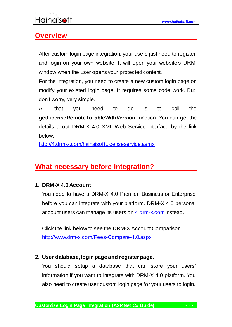### <span id="page-2-0"></span>**Overview**

<span id="page-2-1"></span>After custom login page integration, your users just need to register and login on your own website. It will open your website's DRM window when the user opens your protected content.

For the integration, you need to create a new custom login page or modify your existed login page. It requires some code work. But don't worry, very simple.

All that you need to do is to call the **getLicenseRemoteToTableWithVersion** function. You can get the details about DRM-X 4.0 XML Web Service interface by the link below:

<http://4.drm-x.com/haihaisoftLicenseservice.asmx>

# **What necessary before integration?**

#### **1. DRM-X 4.0 Account**

You need to have a DRM-X 4.0 Premier, Business or Enterprise before you can integrate with your platform. DRM-X 4.0 personal account users can manage its users on [4.drm-x.com](http://4.drm-x.com/) instead.

Click the link below to see the DRM-X Account Comparison. <http://www.drm-x.com/Fees-Compare-4.0.aspx>

#### <span id="page-2-2"></span>**2. User database, login page and register page.**

You should setup a database that can store your users' information if you want to integrate with DRM-X 4.0 platform. You also need to create user custom login page for your users to login.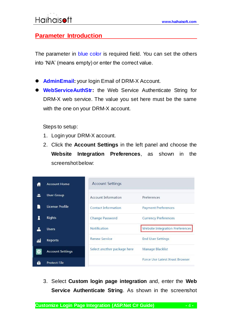### **Parameter Introduction**

The parameter in blue color is required field. You can set the others into 'N/A' (means empty) or enter the correct value.

- **AdminEmail:** your login Email of DRM-X Account.
- **WebServiceAuthStr:** the Web Service Authenticate String for DRM-X web service. The value you set here must be the same with the one on your DRM-X account.

Steps to setup:

- 1. Login your DRM-X account.
- 2. Click the **Account Settings** in the left panel and choose the **Website Integration Preferences**, as shown in the screenshot below:

|    | <b>Account Home</b>     | <b>Account Settings</b>     |                                        |
|----|-------------------------|-----------------------------|----------------------------------------|
|    | <b>User Group</b>       | Account Information         | Preferences                            |
|    | <b>License Profile</b>  | <b>Contact Information</b>  | <b>Payment Preferences</b>             |
|    | <b>Rights</b>           | <b>Change Password</b>      | <b>Currency Preferences</b>            |
|    | <b>Users</b>            | <b>Notification</b>         | <b>Website Integration Preferences</b> |
| ЛĨ | Reports                 | <b>Renew Service</b>        | <b>End User Settings</b>               |
|    | <b>Account Settings</b> | Select another package here | Manage Blacklist                       |
|    | <b>Protect File</b>     |                             | <b>Force Use Latest Xvast Browser</b>  |

3. Select **Custom login page integration** and, enter the **Web Service Authenticate String**. As shown in the screenshot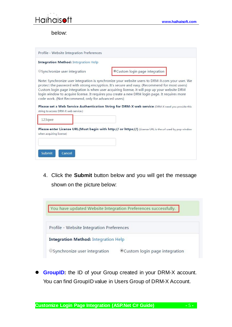

below:

| Profile - Website Integration Preferences                                                   |                                                                                                                                                                                                                                                                                                                                                                                                                                                                                                          |
|---------------------------------------------------------------------------------------------|----------------------------------------------------------------------------------------------------------------------------------------------------------------------------------------------------------------------------------------------------------------------------------------------------------------------------------------------------------------------------------------------------------------------------------------------------------------------------------------------------------|
| <b>Integration Method:</b> Integration Help                                                 |                                                                                                                                                                                                                                                                                                                                                                                                                                                                                                          |
| Synchronize user integration                                                                | Custom login page integration                                                                                                                                                                                                                                                                                                                                                                                                                                                                            |
| code work. (Not Recommend, only for advanced users)<br>string to access DRM-X web service.) | Note: Synchronize user integration is synchronize your website users to DRM-X.com your user. We<br>protect the password with strong encryption. It's secure and easy. (Recommend for most users)<br>Custom login page integration is when user acquiring license, it will pop up your website DRM<br>login window to acquire license. It requires you create a new DRM login page. It requires more<br>Please set a Web Service Authentication String for DRM-X web service (DRM-X need you provide this |
| 123qwe                                                                                      |                                                                                                                                                                                                                                                                                                                                                                                                                                                                                                          |
| when acquiring license)<br>Submit<br>Cancel                                                 | Please enter License URL(Must begin with http:// or https://) (License URL is the url used by pop window                                                                                                                                                                                                                                                                                                                                                                                                 |

4. Click the **Submit** button below and you will get the message shown on the picture below:



 **GroupID:** the ID of your Group created in your DRM-X account. You can find GroupID value in Users Group of DRM-X Account.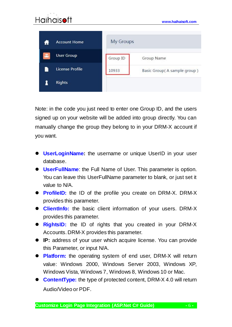# **[www.haihaisoft.com](http://www.haihaisoft.com/) My Groups Account Home User Group** Group ID Group Name **License Profile** 10933 Basic Group(A sample group) 1 **Rights**

Note: in the code you just need to enter one Group ID, and the users signed up on your website will be added into group directly. You can manually change the group they belong to in your DRM-X account if you want.

- **UserLoginName:** the username or unique UserID in your user database.
- **UserFullName**: the Full Name of User. This parameter is option. You can leave this UserFullName parameter to blank, or just set it value to N/A.
- **ProfileID:** the ID of the profile you create on DRM-X. DRM-X provides this parameter.
- **ClientInfo:** the basic client information of your users. DRM-X provides this parameter.
- **RightsID:** the ID of rights that you created in your DRM-X Accounts. DRM-X provides this parameter.
- **IP:** address of your user which acquire license. You can provide this Parameter, or input N/A.
- **Platform:** the operating system of end user, DRM-X will return value: Windows 2000, Windows Server 2003, Windows XP, Windows Vista, Windows 7, Windows 8, Windows 10 or Mac.
- **ContentType:** the type of protected content, DRM-X 4.0 will return Audio/Video or PDF.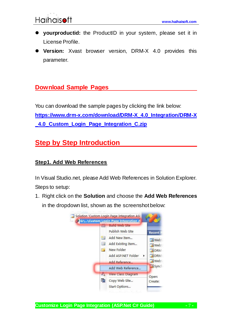- **yourproductid:** the ProductID in your system, please set it in License Profile.
- **Version:** Xvast browser version, DRM-X 4.0 provides this parameter.

### <span id="page-6-0"></span>**Download Sample Pages**

You can download the sample pages by clicking the link below: **[https://www.drm-x.com/download/DRM-X\\_4.0\\_Integration/DRM-X](https://www.drm-x.com/download/DRM-X_4.0_Integration/DRM-X_4.0_Custom_Login_Page_Integration_C.zip) [\\_4.0\\_Custom\\_Login\\_Page\\_Integration\\_C.zip](https://www.drm-x.com/download/DRM-X_4.0_Integration/DRM-X_4.0_Custom_Login_Page_Integration_C.zip)**

# <span id="page-6-1"></span>**Step by Step Introduction**

#### <span id="page-6-2"></span>**Step1. Add Web References**

In Visual Studio.net, please Add Web References in Solution Explorer. Steps to setup:

1. Right click on the **Solution** and choose the **Add Web References** in the dropdown list, shown as the screenshot below:



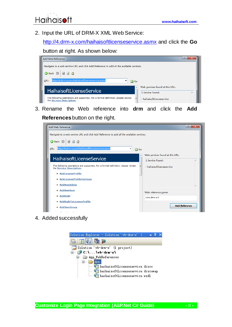2. Input the URL of DRM-X XML Web Service:

<http://4.drm-x.com/haihaisoftlicenseservice.asmx> and click the **Go** 

#### button at right. As shown below:



3. Rename the Web reference into **drm** and click the **Add** 

**References** button on the right.

| Add Web Reference<br>Navigate to a web service URL and click Add Reference to add all the available services.   | P<br>x                                              |
|-----------------------------------------------------------------------------------------------------------------|-----------------------------------------------------|
| 日日台<br><b>G</b> Back <b>D</b><br>http://4.drm-x.com/haihaisoftlicenseservice.asmx<br>URL:<br>▼<br>$\Box$ Go     |                                                     |
| ▲<br>HaihaisoftLicenseService                                                                                   | Web services found at this URL:<br>1 Service Found: |
| The following operations are supported. For a formal definition, please review<br>Ξ<br>the Service Description. | - haihaisoftlicenseservice                          |
| • AddLicenseProfile<br>• AddLicenseProfileToGroup                                                               |                                                     |
| · AddNewAdmin<br>• AddNewUser                                                                                   | Web reference name:                                 |
| • AddRight<br>• AddRightToLicenseProfile                                                                        | com.drm-x.4                                         |
| · AddUserGroup                                                                                                  | <b>Add Reference</b>                                |

4. Added successfully

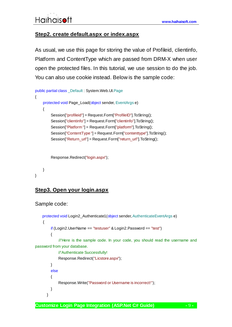#### <span id="page-8-0"></span>**Step2. create default.aspx or index.aspx**

As usual, we use this page for storing the value of Profileid, clientinfo, Platform and ContentType which are passed from DRM-X when user open the protected files. In this tutorial, we use session to do the job. You can also use cookie instead. Below is the sample code:

```
public partial class _Default : System.Web.UI.Page
{
     protected void Page_Load(object sender, EventArgs e)
     {
          Session["profileid"] = Request.Form["ProfileID"].ToString();
          Session["clientinfo"] = Request.Form["clientinfo"].ToString();
          Session["Platform "] = Request.Form["platform"].ToString();
          Session["ContentType "] = Request.Form["contenttype"].ToString();
          Session["Return_url"] = Request.Form["return_url"].ToString();
          Response.Redirect("login.aspx");
```

```
}
```
}

#### <span id="page-8-1"></span>**Step3. Open your login.aspx**

```
Sample code:
```

```
 protected void Login2_Authenticate1(object sender, AuthenticateEventArgs e)
     {
         if (Login2.UserName == "testuser" & Login2.Password == "test")
         {
              //'Here is the sample code. In your code, you should read the username and 
password from your database. 
              //'Authenticate Successfully! 
              Response.Redirect("Licstore.aspx");
         }
         else
         {
              Response.Write("Password or Username is incorrect!");
         }
       }
```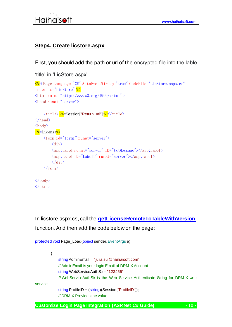#### <span id="page-9-0"></span>**Step4. Create licstore.aspx**

First, you should add the path or url of the encrypted file into the lable

```
'title' in 'LicStore.aspx'.
<%@ Page Language="C#" AutoEventWireup="true" CodeFile="LicStore.aspx.cs"
Inherits="LicStore" %>
\frac{\text{th}}{\text{m} \cdot \text{m} \cdot \text{m} \cdot \text{m} \cdot \text{m} \cdot \text{m} \cdot \text{m} \cdot \text{m}} / www.w3.org/1999/xhtml" >
\langlehead runat="server">
      \langle \text{title} \rangle \langle \text{W}=Session["Return_url"] \frac{1}{2} \langle \text{title} \rangle\langle/head\rangle\langle \text{hody} \rangle<%=License%>
       <form id="form1" runat="server">
             \langlediv\rangle <asp:Label runat="server" ID="txtMessage"></asp:Label>
             \langle \text{asp:Label IP} \rangle \langle \text{label} \rangle\langle/div>
      \langle/form\rangle\langle/body>
\langle/html\rangle
```
In licstore.aspx.cs, call the **[getLicenseRemoteToTableWithVersion](http://4.drm-x.com/haihaisoftlicenseservice.asmx?op=getLicenseRemoteToTableWithVersion)** function. And then add the code below on the page:

```
protected void Page_Load(object sender, EventArgs e)
         {
              string AdminEmail = "julia.sui@haihaisoft.com";
              //'AdminEmail is your login Email of DRM-X Account.
             string WebServiceAuthStr = "123456";
              //'WebServiceAuthStr is the Web Service Authenticate String for DRM-X web 
service. 
             string ProfileID = (string)(Session["ProfileID"]);
              //'DRM-X Provides the value.
```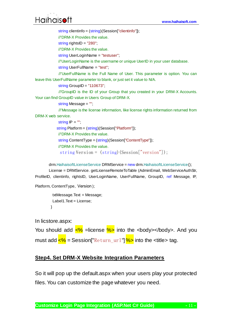# **[www.haihaisoft.com](http://www.haihaisoft.com/)**

string clientinfo = (string)(Session["clientinfo"]);

//'DRM-X Provides the value.

string rightsID = "280";

//'DRM-X Provides the value.

string UserLoginName = "testuser";

//'UserLoginName is the username or unique UserID in your user database.

string UserFullName = "test";

 //'UserFullName is the Full Name of User. This parameter is option. You can leave this UserFullName parameter to blank, or just set it value to N/A.

string GroupID = "110673";

 //'GroupID is the ID of your Group that you created in your DRM-X Accounts. Your can find GroupID value in Users Group of DRM-X.

string Message = "";

 //'Message is the license information, like license rights information returned from DRM-X web service.

string  $IP = "$ ";

string Platform = (string)(Session["Platform"]);

//'DRM-X Provides the value.

string ContentType = (string)(Session["ContentType"]);

//'DRM-X Provides the value.

string Version = (string)(Session["version"]);

drm.HaihaisoftLicenseService DRMService = new drm.HaihaisoftLicenseService();

 License = DRMService. getLicenseRemoteToTable (AdminEmail, WebServiceAuthStr, ProfileID, clientinfo, rightsID, UserLoginName, UserFullName, GroupID, ref Message, IP,

Platform, ContentType, Version );

```
 txtMessage.Text = Message;
Label1.Text = License;
 }
```
In licstore.aspx:

You should add  $\frac{8}{6}$  =license  $\frac{9}{6}$  into the <br/> <br/>body>. And you must add  $\langle\%$  = Session["Return\_url"]  $\%$  into the <title> tag.

#### <span id="page-10-0"></span>**Step4. Set DRM-X Website Integration Parameters**

So it will pop up the default.aspx when your users play your protected files. You can customize the page whatever you need.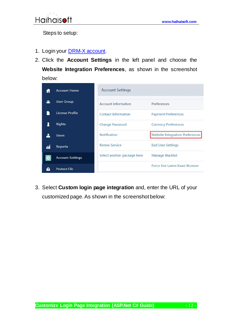Steps to setup:

- 1. Login your **DRM-X account**.
- 2. Click the **Account Settings** in the left panel and choose the **Website Integration Preferences**, as shown in the screenshot below:

|     | <b>Account Home</b>     | <b>Account Settings</b>     |                                        |
|-----|-------------------------|-----------------------------|----------------------------------------|
|     | <b>User Group</b>       | Account Information         | Preferences                            |
|     | License Profile         | Contact Information         | <b>Payment Preferences</b>             |
|     | <b>Rights</b>           | <b>Change Password</b>      | <b>Currency Preferences</b>            |
|     | <b>Users</b>            | <b>Notification</b>         | <b>Website Integration Preferences</b> |
| МÎ  | Reports                 | <b>Renew Service</b>        | <b>End User Settings</b>               |
| .о. | <b>Account Settings</b> | Select another package here | Manage Blacklist                       |
|     | <b>Protect File</b>     |                             | <b>Force Use Latest Xvast Browser</b>  |

3. Select **Custom login page integration** and, enter the URL of your customized page. As shown in the screenshot below:

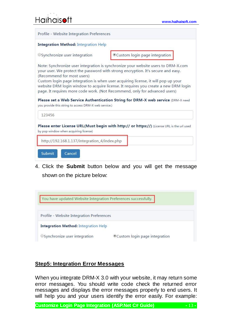# **[www.haihaisoft.com](http://www.haihaisoft.com/)**

| Profile - Website Integration Preferences                                           |                                                                                                                                                                                                                                                                                                                                                                                                                                                                                                                     |
|-------------------------------------------------------------------------------------|---------------------------------------------------------------------------------------------------------------------------------------------------------------------------------------------------------------------------------------------------------------------------------------------------------------------------------------------------------------------------------------------------------------------------------------------------------------------------------------------------------------------|
| <b>Integration Method: Integration Help</b>                                         |                                                                                                                                                                                                                                                                                                                                                                                                                                                                                                                     |
| OSynchronize user integration                                                       | Custom login page integration                                                                                                                                                                                                                                                                                                                                                                                                                                                                                       |
| (Recommend for most users)<br>you provide this string to access DRM-X web service.) | Note: Synchronize user integration is synchronize your website users to DRM-X.com<br>your user. We protect the password with strong encryption. It's secure and easy.<br>Custom login page integration is when user acquiring license, it will pop up your<br>website DRM login window to acquire license. It requires you create a new DRM login<br>page. It requires more code work. (Not Recommend, only for advanced users)<br>Please set a Web Service Authentication String for DRM-X web service (DRM-X need |
| 123456                                                                              |                                                                                                                                                                                                                                                                                                                                                                                                                                                                                                                     |
| by pop window when acquiring license)                                               | Please enter License URL(Must begin with http:// or https://) (License URL is the url used                                                                                                                                                                                                                                                                                                                                                                                                                          |
| http://192.168.1.137/integration_4/index.php                                        |                                                                                                                                                                                                                                                                                                                                                                                                                                                                                                                     |
| <b>Submit</b><br>Cancel                                                             |                                                                                                                                                                                                                                                                                                                                                                                                                                                                                                                     |

4. Click the **Submit** button below and you will get the message shown on the picture below:



#### <span id="page-12-0"></span>**Step5: Integration Error Messages**

When you integrate DRM-X 3.0 with your website, it may return some error messages. You should write code check the returned error messages and displays the error messages properly to end users. It will help you and your users identify the error easily. For example:

**Customize Login Page Integration (ASP.Net C# Guide) -** 13 **-**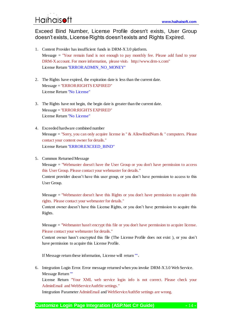#### Exceed Bind Number, License Profile doesn't exists, User Group doesn't exists, License Rights doesn't exists and Rights Expired.

- 1. Content Provider has insufficient funds in DRM-X 3.0 platform. Message  $=$  "Your remain fund is not enough to pay monthly fee. Please add fund to your DRM-X account. For more information, please visit: http://www.drm-x.com" License Return "ERROR:ADMIN\_NO\_MONEY"
- 2. The Rights have expired, the expiration date is less than the current date. Message = "ERROR:RIGHTS EXPIRED" License Return "No License"
- 3. The Rights have not begin, the begin date is greater than the current date. Message = "ERROR:RIGHTS EXPIRED" License Return "No License"
- 4. Exceeded hardware combined number Message = "Sorry, you can only acquire license in "  $&$  AllowBindNum  $&$  " computers. Please contact your content owner for details." License Return "ERROR:EXCEED\_BIND"
- 5. Common Returned Message

 $Message = "Webmaster doesn't have the User Group or you don't have permission to access$ this User Group. Please contact your webmaster for details."

Content provider doesn't have this user group, or you don't have permission to access to this User Group.

Message = "Webmaster doesn't have this Rights or you don't have permission to acquire this rights. Please contact your webmaster for details."

Content owner doesn't have this License Rights, or you don't have permission to acquire this Rights.

Message = "Webmaster hasn't encrypt this file or you don't have permission to acquire license. Please contact your webmaster for details."

Content owner hasn't encrypted this file (The License Profile does not exist ), or you don't have permission to acquire this License Profile.

If Message return these information, License will return ""。

6. Integration Login Error. Error message returned when you invoke DRM-X 3.0 Web Service. Message Return ""

License Return "Your XML web service login info is not correct. Please check your AdminEmail and WebServiceAuthStr settings."

Integration Parameter AdminEmail and WebServiceAuthStr settings are wrong.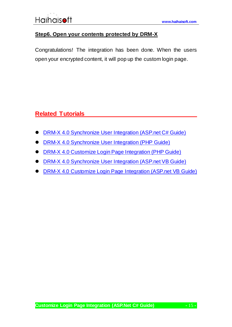#### <span id="page-14-0"></span>**Step6. Open your contents protected by DRM-X**

Congratulations! The integration has been done. When the users open your encrypted content, it will pop up the custom login page.

# <span id="page-14-1"></span>**Related Tutorials**

- [DRM-X 4.0 Synchronize User Integration \(ASP.net C# Guide\)](https://www.drm-x.com/download/DRM-X_4.0_Integration/DRM-X_4.0_Synchronize_User_Integration_C.pdf)
- **[DRM-X 4.0 Synchronize User Integration \(PHP Guide\)](https://www.drm-x.com/download/DRM-X_4.0_Integration/DRM-X_4.0_Synchronize_User_Integration_PHP.pdf)**
- [DRM-X 4.0 Customize Login Page Integration \(PHP Guide\)](https://www.drm-x.com/download/DRM-X_4.0_Integration/DRM-X_4.0_Custom_Login_Page_Integration_PHP.pdf)
- [DRM-X 4.0 Synchronize User Integration \(ASP.net VB Guide\)](https://www.drm-x.com/download/DRM-X_4.0_Integration/DRM-X_4.0_Synchronize_User_Integration_VB.pdf)
- DRM-X [4.0 Customize Login Page Integration \(ASP.net VB Guide\)](https://www.drm-x.com/download/DRM-X_4.0_Integration/DRM-X_4.0_Custom_Login_Page_Integration_VB.pdf)